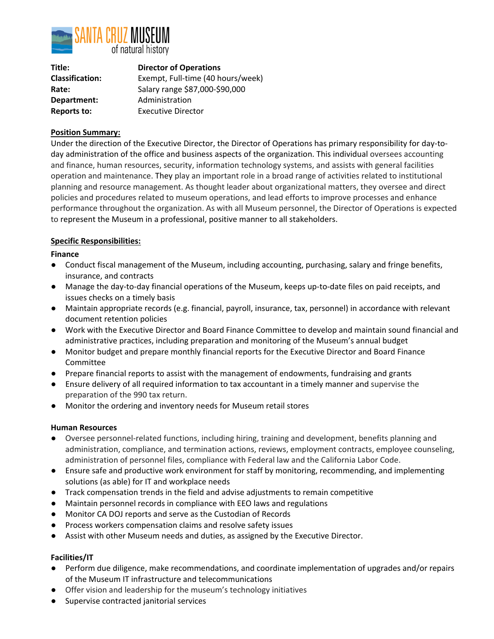

| Title:                 | <b>Director of Operations</b>     |
|------------------------|-----------------------------------|
| <b>Classification:</b> | Exempt, Full-time (40 hours/week) |
| Rate:                  | Salary range \$87,000-\$90,000    |
| Department:            | Administration                    |
| <b>Reports to:</b>     | <b>Executive Director</b>         |

### **Position Summary:**

Under the direction of the Executive Director, the Director of Operations has primary responsibility for day-today administration of the office and business aspects of the organization. This individual oversees accounting and finance, human resources, security, information technology systems, and assists with general facilities operation and maintenance. They play an important role in a broad range of activities related to institutional planning and resource management. As thought leader about organizational matters, they oversee and direct policies and procedures related to museum operations, and lead efforts to improve processes and enhance performance throughout the organization. As with all Museum personnel, the Director of Operations is expected to represent the Museum in a professional, positive manner to all stakeholders.

# **Specific Responsibilities:**

### **Finance**

- Conduct fiscal management of the Museum, including accounting, purchasing, salary and fringe benefits, insurance, and contracts
- Manage the day-to-day financial operations of the Museum, keeps up-to-date files on paid receipts, and issues checks on a timely basis
- Maintain appropriate records (e.g. financial, payroll, insurance, tax, personnel) in accordance with relevant document retention policies
- Work with the Executive Director and Board Finance Committee to develop and maintain sound financial and administrative practices, including preparation and monitoring of the Museum's annual budget
- Monitor budget and prepare monthly financial reports for the Executive Director and Board Finance Committee
- Prepare financial reports to assist with the management of endowments, fundraising and grants
- Ensure delivery of all required information to tax accountant in a timely manner and supervise the preparation of the 990 tax return.
- Monitor the ordering and inventory needs for Museum retail stores

### **Human Resources**

- Oversee personnel-related functions, including hiring, training and development, benefits planning and administration, compliance, and termination actions, reviews, employment contracts, employee counseling, administration of personnel files, compliance with Federal law and the California Labor Code.
- Ensure safe and productive work environment for staff by monitoring, recommending, and implementing solutions (as able) for IT and workplace needs
- Track compensation trends in the field and advise adjustments to remain competitive
- Maintain personnel records in compliance with EEO laws and regulations
- Monitor CA DOJ reports and serve as the Custodian of Records
- Process workers compensation claims and resolve safety issues
- Assist with other Museum needs and duties, as assigned by the Executive Director.

### **Facilities/IT**

- Perform due diligence, make recommendations, and coordinate implementation of upgrades and/or repairs of the Museum IT infrastructure and telecommunications
- Offer vision and leadership for the museum's technology initiatives
- Supervise contracted janitorial services